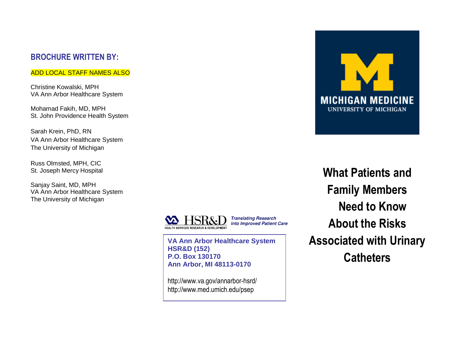#### **BROCHURE WRITTEN BY:**

#### ADD LOCAL STAFF NAMES ALSO

Christine Kowalski, MPH VA Ann Arbor Healthcare System

Mohamad Fakih, MD, MPH St. John Providence Health System

Sarah Krein, PhD, RN VA Ann Arbor Healthcare System The University of Michigan

Russ Olmsted, MPH, CIC St. Joseph Mercy Hospital

Sanjay Saint, MD, MPH VA Ann Arbor Healthcare System The University of Michigan



**VA Ann Arbor Healthcare System HSR&D (152) P.O. Box 130170 Ann Arbor, MI 48113-0170**

http://www.va.gov/annarbor-hsrd/ http://www.med.umich.edu/psep



**What Patients and Family Members Need to Know About the Risks Associated with Urinary Catheters**